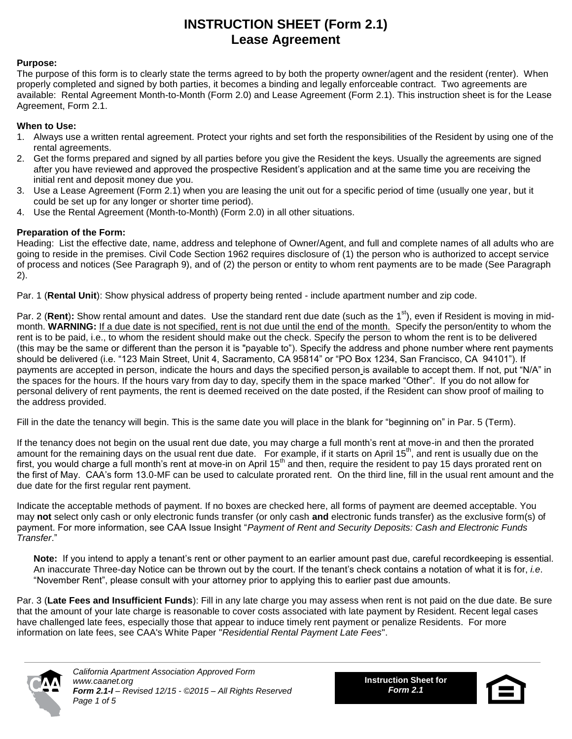# **INSTRUCTION SHEET (Form 2.1) Lease Agreement**

#### **Purpose:**

The purpose of this form is to clearly state the terms agreed to by both the property owner/agent and the resident (renter). When properly completed and signed by both parties, it becomes a binding and legally enforceable contract. Two agreements are available: Rental Agreement Month-to-Month (Form 2.0) and Lease Agreement (Form 2.1). This instruction sheet is for the Lease Agreement, Form 2.1.

### **When to Use:**

- 1. Always use a written rental agreement. Protect your rights and set forth the responsibilities of the Resident by using one of the rental agreements.
- 2. Get the forms prepared and signed by all parties before you give the Resident the keys. Usually the agreements are signed after you have reviewed and approved the prospective Resident's application and at the same time you are receiving the initial rent and deposit money due you.
- 3. Use a Lease Agreement (Form 2.1) when you are leasing the unit out for a specific period of time (usually one year, but it could be set up for any longer or shorter time period).
- 4. Use the Rental Agreement (Month-to-Month) (Form 2.0) in all other situations.

### **Preparation of the Form:**

Heading: List the effective date, name, address and telephone of Owner/Agent, and full and complete names of all adults who are going to reside in the premises. Civil Code Section 1962 requires disclosure of (1) the person who is authorized to accept service of process and notices (See Paragraph 9), and of (2) the person or entity to whom rent payments are to be made (See Paragraph 2).

Par. 1 (**Rental Unit**): Show physical address of property being rented - include apartment number and zip code.

Par. 2 (Rent): Show rental amount and dates. Use the standard rent due date (such as the 1<sup>st</sup>), even if Resident is moving in midmonth. **WARNING:** If a due date is not specified, rent is not due until the end of the month. Specify the person/entity to whom the rent is to be paid, i.e., to whom the resident should make out the check. Specify the person to whom the rent is to be delivered (this may be the same or different than the person it is "payable to"). Specify the address and phone number where rent payments should be delivered (i.e. "123 Main Street, Unit 4, Sacramento, CA 95814" or "PO Box 1234, San Francisco, CA 94101"). If payments are accepted in person, indicate the hours and days the specified person is available to accept them. If not, put "N/A" in the spaces for the hours. If the hours vary from day to day, specify them in the space marked "Other". If you do not allow for personal delivery of rent payments, the rent is deemed received on the date posted, if the Resident can show proof of mailing to the address provided.

Fill in the date the tenancy will begin. This is the same date you will place in the blank for "beginning on" in Par. 5 (Term).

If the tenancy does not begin on the usual rent due date, you may charge a full month's rent at move-in and then the prorated amount for the remaining days on the usual rent due date. For example, if it starts on April 15<sup>th</sup>, and rent is usually due on the first, you would charge a full month's rent at move-in on April 15<sup>th</sup> and then, require the resident to pay 15 days prorated rent on the first of May. CAA's form 13.0-MF can be used to calculate prorated rent. On the third line, fill in the usual rent amount and the due date for the first regular rent payment.

Indicate the acceptable methods of payment. If no boxes are checked here, all forms of payment are deemed acceptable. You may **not** select only cash or only electronic funds transfer (or only cash **and** electronic funds transfer) as the exclusive form(s) of payment. For more information, see CAA Issue Insight "*Payment of Rent and Security Deposits: Cash and Electronic Funds Transfer*."

**Note:** If you intend to apply a tenant's rent or other payment to an earlier amount past due, careful recordkeeping is essential. An inaccurate Three-day Notice can be thrown out by the court. If the tenant's check contains a notation of what it is for, *i.e*. "November Rent", please consult with your attorney prior to applying this to earlier past due amounts.

Par. 3 (**Late Fees and Insufficient Funds**): Fill in any late charge you may assess when rent is not paid on the due date. Be sure that the amount of your late charge is reasonable to cover costs associated with late payment by Resident. Recent legal cases have challenged late fees, especially those that appear to induce timely rent payment or penalize Residents. For more information on late fees, see CAA's White Paper "*Residential Rental Payment Late Fees*".



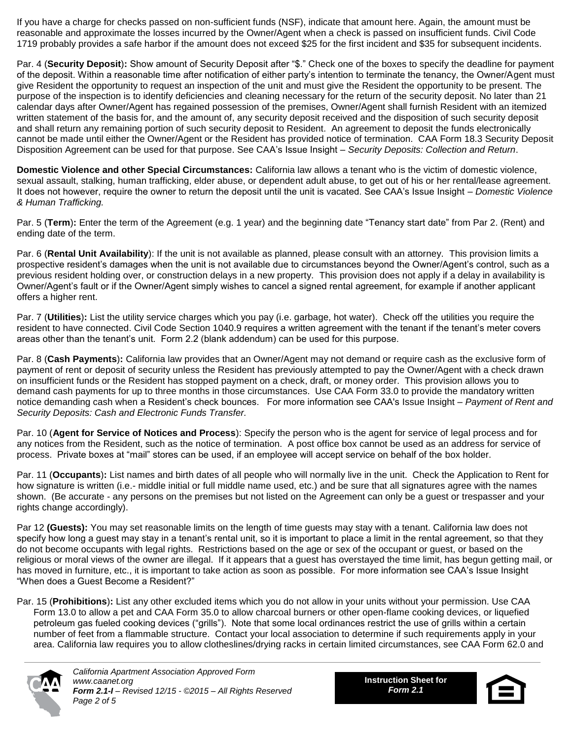If you have a charge for checks passed on non-sufficient funds (NSF), indicate that amount here. Again, the amount must be reasonable and approximate the losses incurred by the Owner/Agent when a check is passed on insufficient funds. Civil Code 1719 probably provides a safe harbor if the amount does not exceed \$25 for the first incident and \$35 for subsequent incidents.

Par. 4 (**Security Deposit**)**:** Show amount of Security Deposit after "\$." Check one of the boxes to specify the deadline for payment of the deposit. Within a reasonable time after notification of either party's intention to terminate the tenancy, the Owner/Agent must give Resident the opportunity to request an inspection of the unit and must give the Resident the opportunity to be present. The purpose of the inspection is to identify deficiencies and cleaning necessary for the return of the security deposit. No later than 21 calendar days after Owner/Agent has regained possession of the premises, Owner/Agent shall furnish Resident with an itemized written statement of the basis for, and the amount of, any security deposit received and the disposition of such security deposit and shall return any remaining portion of such security deposit to Resident. An agreement to deposit the funds electronically cannot be made until either the Owner/Agent or the Resident has provided notice of termination. CAA Form 18.3 Security Deposit Disposition Agreement can be used for that purpose. See CAA's Issue Insight – *Security Deposits: Collection and Return*.

**Domestic Violence and other Special Circumstances:** California law allows a tenant who is the victim of domestic violence, sexual assault, stalking, human trafficking, elder abuse, or dependent adult abuse, to get out of his or her rental/lease agreement. It does not however, require the owner to return the deposit until the unit is vacated. See CAA's Issue Insight – *Domestic Violence & Human Trafficking.*

Par. 5 (**Term**)**:** Enter the term of the Agreement (e.g. 1 year) and the beginning date "Tenancy start date" from Par 2. (Rent) and ending date of the term.

Par. 6 (**Rental Unit Availability**): If the unit is not available as planned, please consult with an attorney. This provision limits a prospective resident's damages when the unit is not available due to circumstances beyond the Owner/Agent's control, such as a previous resident holding over, or construction delays in a new property. This provision does not apply if a delay in availability is Owner/Agent's fault or if the Owner/Agent simply wishes to cancel a signed rental agreement, for example if another applicant offers a higher rent.

Par. 7 (**Utilities**)**:** List the utility service charges which you pay (i.e. garbage, hot water). Check off the utilities you require the resident to have connected. Civil Code Section 1040.9 requires a written agreement with the tenant if the tenant's meter covers areas other than the tenant's unit. Form 2.2 (blank addendum) can be used for this purpose.

Par. 8 (**Cash Payments**)**:** California law provides that an Owner/Agent may not demand or require cash as the exclusive form of payment of rent or deposit of security unless the Resident has previously attempted to pay the Owner/Agent with a check drawn on insufficient funds or the Resident has stopped payment on a check, draft, or money order. This provision allows you to demand cash payments for up to three months in those circumstances. Use CAA Form 33.0 to provide the mandatory written notice demanding cash when a Resident's check bounces. For more information see CAA's Issue Insight – *Payment of Rent and Security Deposits: Cash and Electronic Funds Transfer.*

Par. 10 (**Agent for Service of Notices and Process**): Specify the person who is the agent for service of legal process and for any notices from the Resident, such as the notice of termination. A post office box cannot be used as an address for service of process. Private boxes at "mail" stores can be used, if an employee will accept service on behalf of the box holder.

Par. 11 (**Occupants**)**:** List names and birth dates of all people who will normally live in the unit. Check the Application to Rent for how signature is written (i.e.- middle initial or full middle name used, etc.) and be sure that all signatures agree with the names shown. (Be accurate - any persons on the premises but not listed on the Agreement can only be a guest or trespasser and your rights change accordingly).

Par 12 **(Guests):** You may set reasonable limits on the length of time guests may stay with a tenant. California law does not specify how long a guest may stay in a tenant's rental unit, so it is important to place a limit in the rental agreement, so that they do not become occupants with legal rights. Restrictions based on the age or sex of the occupant or guest, or based on the religious or moral views of the owner are illegal. If it appears that a guest has overstayed the time limit, has begun getting mail, or has moved in furniture, etc., it is important to take action as soon as possible. For more information see CAA's Issue Insight "When does a Guest Become a Resident?"

Par. 15 (**Prohibitions**)**:** List any other excluded items which you do not allow in your units without your permission. Use CAA Form 13.0 to allow a pet and CAA Form 35.0 to allow charcoal burners or other open-flame cooking devices, or liquefied petroleum gas fueled cooking devices ("grills"). Note that some local ordinances restrict the use of grills within a certain number of feet from a flammable structure. Contact your local association to determine if such requirements apply in your area. California law requires you to allow clotheslines/drying racks in certain limited circumstances, see CAA Form 62.0 and



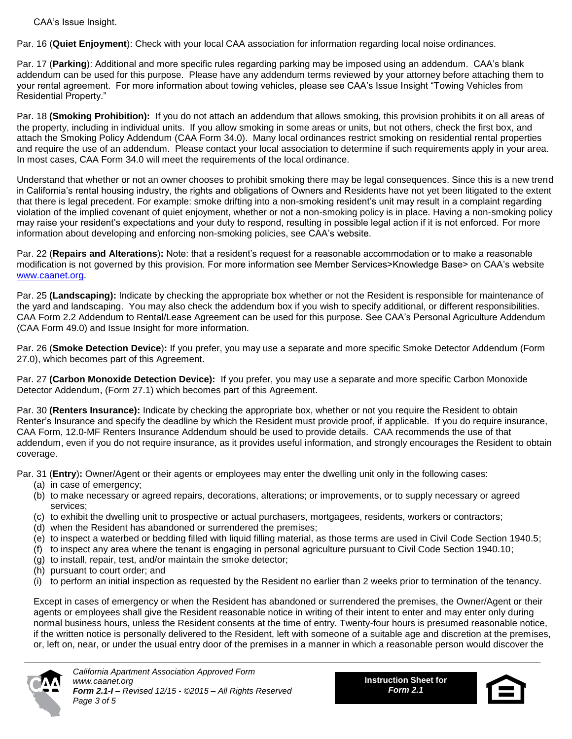CAA's Issue Insight.

Par. 16 (**Quiet Enjoyment**): Check with your local CAA association for information regarding local noise ordinances.

Par. 17 (**Parking**): Additional and more specific rules regarding parking may be imposed using an addendum. CAA's blank addendum can be used for this purpose. Please have any addendum terms reviewed by your attorney before attaching them to your rental agreement. For more information about towing vehicles, please see CAA's Issue Insight "Towing Vehicles from Residential Property."

Par. 18 **(Smoking Prohibition):** If you do not attach an addendum that allows smoking, this provision prohibits it on all areas of the property, including in individual units. If you allow smoking in some areas or units, but not others, check the first box, and attach the Smoking Policy Addendum (CAA Form 34.0). Many local ordinances restrict smoking on residential rental properties and require the use of an addendum. Please contact your local association to determine if such requirements apply in your area. In most cases, CAA Form 34.0 will meet the requirements of the local ordinance.

Understand that whether or not an owner chooses to prohibit smoking there may be legal consequences. Since this is a new trend in California's rental housing industry, the rights and obligations of Owners and Residents have not yet been litigated to the extent that there is legal precedent. For example: smoke drifting into a non-smoking resident's unit may result in a complaint regarding violation of the implied covenant of quiet enjoyment, whether or not a non-smoking policy is in place. Having a non-smoking policy may raise your resident's expectations and your duty to respond, resulting in possible legal action if it is not enforced. For more information about developing and enforcing non-smoking policies, see CAA's website.

Par. 22 (**Repairs and Alterations**)**:** Note: that a resident's request for a reasonable accommodation or to make a reasonable modification is not governed by this provision. For more information see Member Services>Knowledge Base> on CAA's website [www.caanet.org.](http://www.caanet.org/)

Par. 25 **(Landscaping):** Indicate by checking the appropriate box whether or not the Resident is responsible for maintenance of the yard and landscaping. You may also check the addendum box if you wish to specify additional, or different responsibilities. CAA Form 2.2 Addendum to Rental/Lease Agreement can be used for this purpose. See CAA's Personal Agriculture Addendum (CAA Form 49.0) and Issue Insight for more information.

Par. 26 (**Smoke Detection Device**)**:** If you prefer, you may use a separate and more specific Smoke Detector Addendum (Form 27.0), which becomes part of this Agreement.

Par. 27 **(Carbon Monoxide Detection Device):** If you prefer, you may use a separate and more specific Carbon Monoxide Detector Addendum, (Form 27.1) which becomes part of this Agreement.

Par. 30 **(Renters Insurance):** Indicate by checking the appropriate box, whether or not you require the Resident to obtain Renter's Insurance and specify the deadline by which the Resident must provide proof, if applicable. If you do require insurance, CAA Form, 12.0-MF Renters Insurance Addendum should be used to provide details. CAA recommends the use of that addendum, even if you do not require insurance, as it provides useful information, and strongly encourages the Resident to obtain coverage.

Par. 31 (**Entry**)**:** Owner/Agent or their agents or employees may enter the dwelling unit only in the following cases:

- (a) in case of emergency;
- (b) to make necessary or agreed repairs, decorations, alterations; or improvements, or to supply necessary or agreed services;
- (c) to exhibit the dwelling unit to prospective or actual purchasers, mortgagees, residents, workers or contractors;
- (d) when the Resident has abandoned or surrendered the premises;
- (e) to inspect a waterbed or bedding filled with liquid filling material, as those terms are used in Civil Code Section 1940.5;
- (f) to inspect any area where the tenant is engaging in personal agriculture pursuant to Civil Code Section 1940.10;
- (g) to install, repair, test, and/or maintain the smoke detector;
- (h) pursuant to court order; and
- (i) to perform an initial inspection as requested by the Resident no earlier than 2 weeks prior to termination of the tenancy.

Except in cases of emergency or when the Resident has abandoned or surrendered the premises, the Owner/Agent or their agents or employees shall give the Resident reasonable notice in writing of their intent to enter and may enter only during normal business hours, unless the Resident consents at the time of entry. Twenty-four hours is presumed reasonable notice, if the written notice is personally delivered to the Resident, left with someone of a suitable age and discretion at the premises, or, left on, near, or under the usual entry door of the premises in a manner in which a reasonable person would discover the



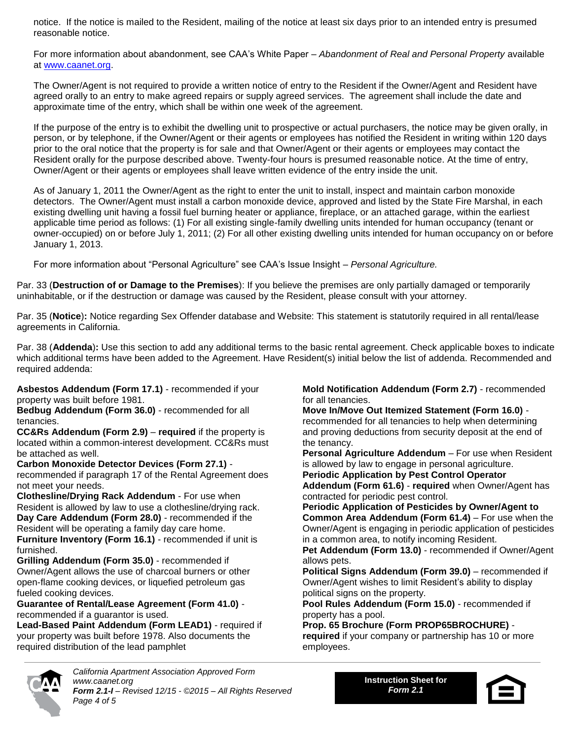notice. If the notice is mailed to the Resident, mailing of the notice at least six days prior to an intended entry is presumed reasonable notice.

For more information about abandonment, see CAA's White Paper – *Abandonment of Real and Personal Property* available at [www.caanet.org.](http://www.caanet.org/)

The Owner/Agent is not required to provide a written notice of entry to the Resident if the Owner/Agent and Resident have agreed orally to an entry to make agreed repairs or supply agreed services. The agreement shall include the date and approximate time of the entry, which shall be within one week of the agreement.

If the purpose of the entry is to exhibit the dwelling unit to prospective or actual purchasers, the notice may be given orally, in person, or by telephone, if the Owner/Agent or their agents or employees has notified the Resident in writing within 120 days prior to the oral notice that the property is for sale and that Owner/Agent or their agents or employees may contact the Resident orally for the purpose described above. Twenty-four hours is presumed reasonable notice. At the time of entry, Owner/Agent or their agents or employees shall leave written evidence of the entry inside the unit.

As of January 1, 2011 the Owner/Agent as the right to enter the unit to install, inspect and maintain carbon monoxide detectors. The Owner/Agent must install a carbon monoxide device, approved and listed by the State Fire Marshal, in each existing dwelling unit having a fossil fuel burning heater or appliance, fireplace, or an attached garage, within the earliest applicable time period as follows: (1) For all existing single-family dwelling units intended for human occupancy (tenant or owner-occupied) on or before July 1, 2011; (2) For all other existing dwelling units intended for human occupancy on or before January 1, 2013.

For more information about "Personal Agriculture" see CAA's Issue Insight – *Personal Agriculture.*

Par. 33 (**Destruction of or Damage to the Premises**): If you believe the premises are only partially damaged or temporarily uninhabitable, or if the destruction or damage was caused by the Resident, please consult with your attorney.

Par. 35 (**Notice**)**:** Notice regarding Sex Offender database and Website: This statement is statutorily required in all rental/lease agreements in California.

Par. 38 (**Addenda**)**:** Use this section to add any additional terms to the basic rental agreement. Check applicable boxes to indicate which additional terms have been added to the Agreement. Have Resident(s) initial below the list of addenda. Recommended and required addenda:

**Asbestos Addendum (Form 17.1)** - recommended if your property was built before 1981.

**Bedbug Addendum (Form 36.0)** - recommended for all tenancies.

**CC&Rs Addendum (Form 2.9)** – **required** if the property is located within a common-interest development. CC&Rs must be attached as well.

**Carbon Monoxide Detector Devices (Form 27.1)** recommended if paragraph 17 of the Rental Agreement does not meet your needs.

**Clothesline/Drying Rack Addendum** - For use when Resident is allowed by law to use a clothesline/drying rack. **Day Care Addendum (Form 28.0)** - recommended if the Resident will be operating a family day care home. **Furniture Inventory (Form 16.1)** - recommended if unit is furnished.

**Grilling Addendum (Form 35.0)** - recommended if Owner/Agent allows the use of charcoal burners or other open-flame cooking devices, or liquefied petroleum gas fueled cooking devices.

#### **Guarantee of Rental/Lease Agreement (Form 41.0)** recommended if a guarantor is used.

**Lead-Based Paint Addendum (Form LEAD1)** - required if your property was built before 1978. Also documents the required distribution of the lead pamphlet

**Mold Notification Addendum (Form 2.7)** - recommended for all tenancies.

**Move In/Move Out Itemized Statement (Form 16.0)** recommended for all tenancies to help when determining and proving deductions from security deposit at the end of the tenancy.

**Personal Agriculture Addendum** – For use when Resident is allowed by law to engage in personal agriculture. **Periodic Application by Pest Control Operator**

**Addendum (Form 61.6)** - **required** when Owner/Agent has contracted for periodic pest control.

**Periodic Application of Pesticides by Owner/Agent to Common Area Addendum (Form 61.4)** – For use when the Owner/Agent is engaging in periodic application of pesticides in a common area, to notify incoming Resident.

**Pet Addendum (Form 13.0)** - recommended if Owner/Agent allows pets.

**Political Signs Addendum (Form 39.0)** – recommended if Owner/Agent wishes to limit Resident's ability to display political signs on the property.

**Pool Rules Addendum (Form 15.0)** - recommended if property has a pool.

**Prop. 65 Brochure (Form PROP65BROCHURE) required** if your company or partnership has 10 or more employees.



*California Apartment Association Approved Form www.caanet.org Form 2.1-I – Revised 12/15 - ©2015 – All Rights Reserved Page 4 of 5*

**Instruction Sheet for** *Form 2.1*